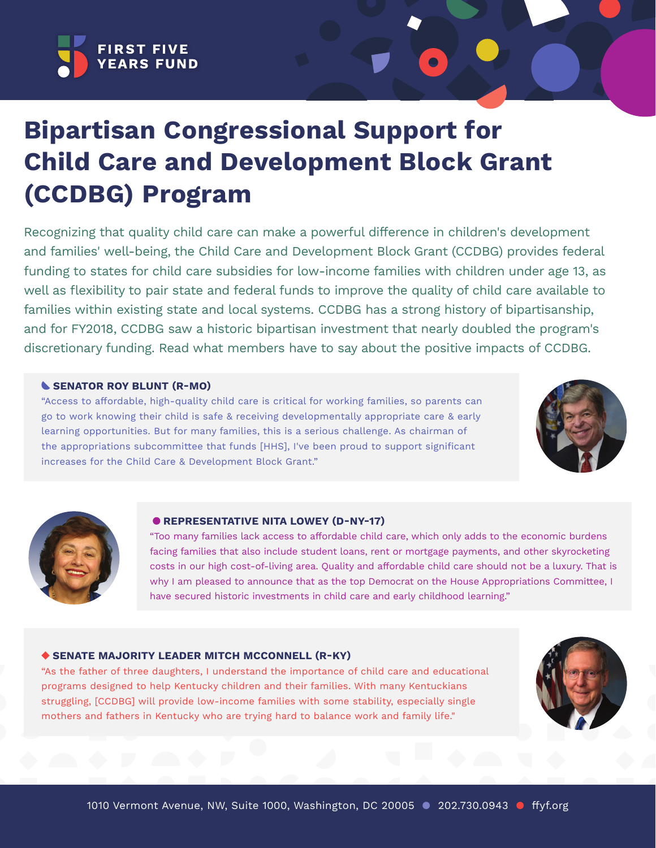

# **Bipartisan Congressional Support for Child Care and Development Block Grant (CCDBG) Program**

Recognizing that quality child care can make a powerful difference in children's development and families' well-being, the Child Care and Development Block Grant (CCDBG) provides federal funding to states for child care subsidies for low-income families with children under age 13, as well as flexibility to pair state and federal funds to improve the quality of child care available to families within existing state and local systems. CCDBG has a strong history of bipartisanship, and for FY2018, CCDBG saw a historic bipartisan investment that nearly doubled the program's discretionary funding. Read what members have to say about the positive impacts of CCDBG.

#### **SENATOR ROY BLUNT (R-MO)**

"Access to affordable, high-quality child care is critical for working families, so parents can go to work knowing their child is safe & receiving developmentally appropriate care & early learning opportunities. But for many families, this is a serious challenge. As chairman of the appropriations subcommittee that funds [HHS], I've been proud to support significant increases for the Child Care & Development Block Grant."





#### **C**REPRESENTATIVE NITA LOWEY (D-NY-17)

"Too many families lack access to affordable child care, which only adds to the economic burdens facing families that also include student loans, rent or mortgage payments, and other skyrocketing costs in our high cost-of-living area. Quality and affordable child care should not be a luxury. That is why I am pleased to announce that as the top Democrat on the House Appropriations Committee, I have secured historic investments in child care and early childhood learning."

## **SENATE MAJORITY LEADER MITCH MCCONNELL (R-KY)**

"As the father of three daughters, I understand the importance of child care and educational programs designed to help Kentucky children and their families. With many Kentuckians struggling, [CCDBG] will provide low-income families with some stability, especially single mothers and fathers in Kentucky who are trying hard to balance work and family life."